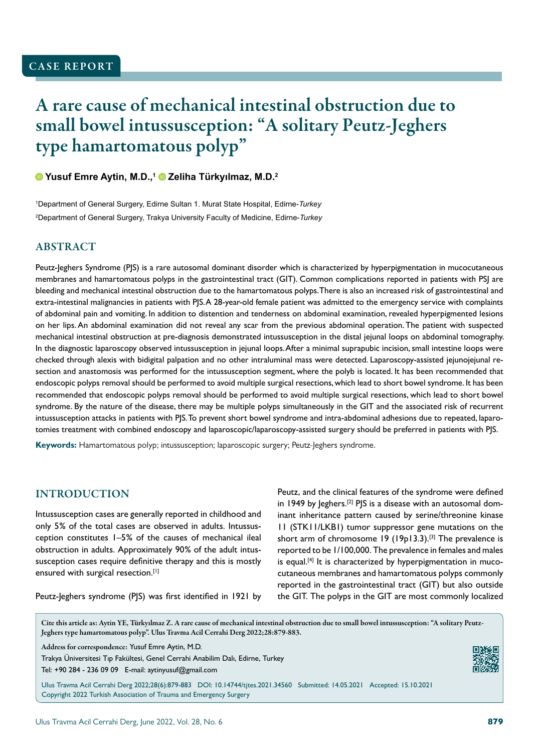# A rare cause of mechanical intestinal obstruction due to small bowel intussusception: "A solitary Peutz-Jeghers type hamartomatous polyp"

#### **Yusuf Emre Aytin, M.D.,1 Zeliha Türkyılmaz, M.D.<sup>2</sup>**

1 Department of General Surgery, Edirne Sultan 1. Murat State Hospital, Edirne-*Turkey* 2 Department of General Surgery, Trakya University Faculty of Medicine, Edirne-*Turkey*

#### **ABSTRACT**

Peutz-Jeghers Syndrome (PJS) is a rare autosomal dominant disorder which is characterized by hyperpigmentation in mucocutaneous membranes and hamartomatous polyps in the gastrointestinal tract (GIT). Common complications reported in patients with PSJ are bleeding and mechanical intestinal obstruction due to the hamartomatous polyps. There is also an increased risk of gastrointestinal and extra-intestinal malignancies in patients with PJS. A 28-year-old female patient was admitted to the emergency service with complaints of abdominal pain and vomiting. In addition to distention and tenderness on abdominal examination, revealed hyperpigmented lesions on her lips. An abdominal examination did not reveal any scar from the previous abdominal operation. The patient with suspected mechanical intestinal obstruction at pre-diagnosis demonstrated intussusception in the distal jejunal loops on abdominal tomography. In the diagnostic laparoscopy observed intussusception in jejunal loops. After a minimal suprapubic incision, small intestine loops were checked through alexis with bidigital palpation and no other intraluminal mass were detected. Laparoscopy-assisted jejunojejunal resection and anastomosis was performed for the intussusception segment, where the polyb is located. It has been recommended that endoscopic polyps removal should be performed to avoid multiple surgical resections, which lead to short bowel syndrome. It has been recommended that endoscopic polyps removal should be performed to avoid multiple surgical resections, which lead to short bowel syndrome. By the nature of the disease, there may be multiple polyps simultaneously in the GIT and the associated risk of recurrent intussusception attacks in patients with PJS. To prevent short bowel syndrome and intra-abdominal adhesions due to repeated, laparotomies treatment with combined endoscopy and laparoscopic/laparoscopy-assisted surgery should be preferred in patients with PJS.

**Keywords:** Hamartomatous polyp; intussusception; laparoscopic surgery; Peutz-Jeghers syndrome.

#### INTRODUCTION

Intussusception cases are generally reported in childhood and only 5% of the total cases are observed in adults. Intussusception constitutes 1–5% of the causes of mechanical ileal obstruction in adults. Approximately 90% of the adult intussusception cases require definitive therapy and this is mostly ensured with surgical resection.[1]

Peutz, and the clinical features of the syndrome were defined in 1949 by  $Ieghers.$ <sup>[2]</sup> PJS is a disease with an autosomal dominant inheritance pattern caused by serine/threonine kinase 11 (STK11/LKB1) tumor suppressor gene mutations on the short arm of chromosome 19 (19p13.3).[3] The prevalence is reported to be 1/100,000. The prevalence in females and males is equal.<sup>[4]</sup> It is characterized by hyperpigmentation in mucocutaneous membranes and hamartomatous polyps commonly reported in the gastrointestinal tract (GIT) but also outside the GIT. The polyps in the GIT are most commonly localized

Peutz-Jeghers syndrome (PJS) was first identified in 1921 by

Cite this article as: Aytin YE, Türkyılmaz Z. A rare cause of mechanical intestinal obstruction due to small bowel intussusception: "A solitary Peutz-Jeghers type hamartomatous polyp". Ulus Travma Acil Cerrahi Derg 2022;28:879-883.

Address for correspondence: Yusuf Emre Aytin, M.D.

Trakya Üniversitesi Tıp Fakültesi, Genel Cerrahi Anabilim Dalı, Edirne, Turkey Tel: +90 284 - 236 09 09 E-mail: aytinyusuf@gmail.com

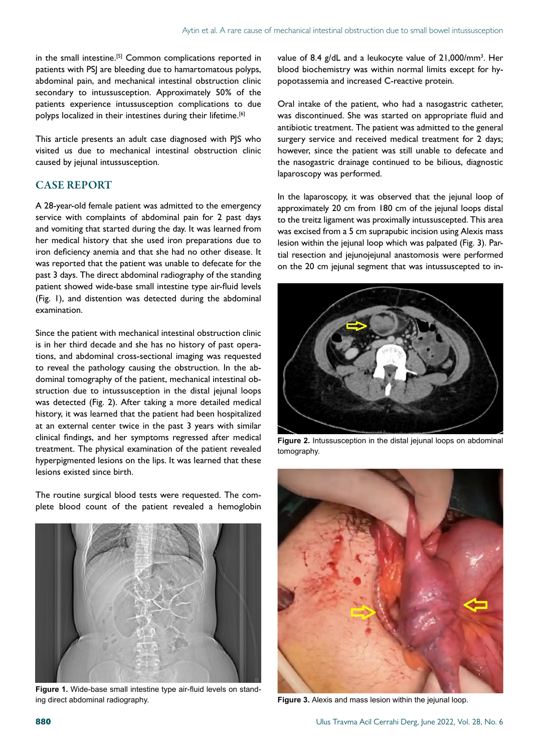in the small intestine.[5] Common complications reported in patients with PSJ are bleeding due to hamartomatous polyps, abdominal pain, and mechanical intestinal obstruction clinic secondary to intussusception. Approximately 50% of the patients experience intussusception complications to due polyps localized in their intestines during their lifetime.<sup>[6]</sup>

This article presents an adult case diagnosed with PJS who visited us due to mechanical intestinal obstruction clinic caused by jejunal intussusception.

#### CASE REPORT

A 28-year-old female patient was admitted to the emergency service with complaints of abdominal pain for 2 past days and vomiting that started during the day. It was learned from her medical history that she used iron preparations due to iron deficiency anemia and that she had no other disease. It was reported that the patient was unable to defecate for the past 3 days. The direct abdominal radiography of the standing patient showed wide-base small intestine type air-fluid levels (Fig. 1), and distention was detected during the abdominal examination.

Since the patient with mechanical intestinal obstruction clinic is in her third decade and she has no history of past operations, and abdominal cross-sectional imaging was requested to reveal the pathology causing the obstruction. In the abdominal tomography of the patient, mechanical intestinal obstruction due to intussusception in the distal jejunal loops was detected (Fig. 2). After taking a more detailed medical history, it was learned that the patient had been hospitalized at an external center twice in the past 3 years with similar clinical findings, and her symptoms regressed after medical treatment. The physical examination of the patient revealed hyperpigmented lesions on the lips. It was learned that these lesions existed since birth.

The routine surgical blood tests were requested. The complete blood count of the patient revealed a hemoglobin



**Figure 1.** Wide-base small intestine type air-fluid levels on standing direct abdominal radiography.

value of 8.4 g/dL and a leukocyte value of 21,000/mm<sup>3</sup>. Her blood biochemistry was within normal limits except for hypopotassemia and increased C-reactive protein.

Oral intake of the patient, who had a nasogastric catheter, was discontinued. She was started on appropriate fluid and antibiotic treatment. The patient was admitted to the general surgery service and received medical treatment for 2 days; however, since the patient was still unable to defecate and the nasogastric drainage continued to be bilious, diagnostic laparoscopy was performed.

In the laparoscopy, it was observed that the jejunal loop of approximately 20 cm from 180 cm of the jejunal loops distal to the treitz ligament was proximally intussuscepted. This area was excised from a 5 cm suprapubic incision using Alexis mass lesion within the jejunal loop which was palpated (Fig. 3). Partial resection and jejunojejunal anastomosis were performed on the 20 cm jejunal segment that was intussuscepted to in-



Figure 2. Intussusception in the distal jejunal loops on abdominal tomography.



**Figure 3.** Alexis and mass lesion within the jejunal loop.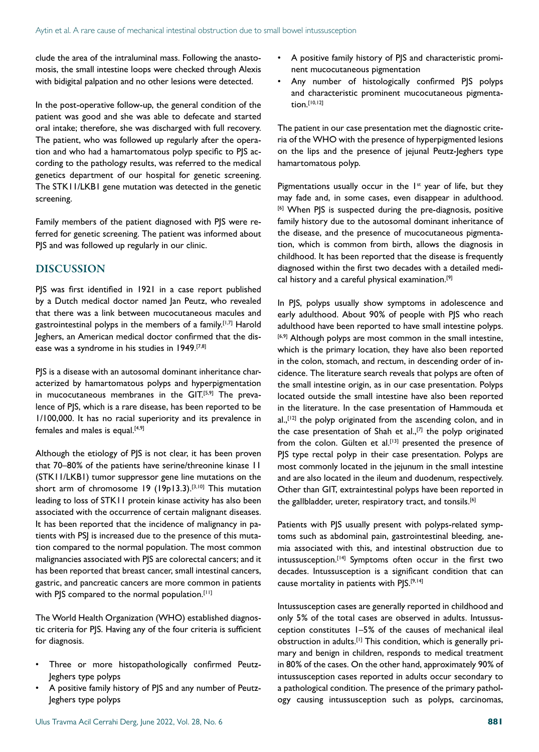clude the area of the intraluminal mass. Following the anastomosis, the small intestine loops were checked through Alexis with bidigital palpation and no other lesions were detected.

In the post-operative follow-up, the general condition of the patient was good and she was able to defecate and started oral intake; therefore, she was discharged with full recovery. The patient, who was followed up regularly after the operation and who had a hamartomatous polyp specific to PJS according to the pathology results, was referred to the medical genetics department of our hospital for genetic screening. The STK11/LKB1 gene mutation was detected in the genetic screening.

Family members of the patient diagnosed with PJS were referred for genetic screening. The patient was informed about PJS and was followed up regularly in our clinic.

## DISCUSSION

PJS was first identified in 1921 in a case report published by a Dutch medical doctor named Jan Peutz, who revealed that there was a link between mucocutaneous macules and gastrointestinal polyps in the members of a family.<sup>[1,7]</sup> Harold Jeghers, an American medical doctor confirmed that the disease was a syndrome in his studies in 1949.<sup>[7,8]</sup>

PJS is a disease with an autosomal dominant inheritance characterized by hamartomatous polyps and hyperpigmentation in mucocutaneous membranes in the GIT.<sup>[5,9]</sup> The prevalence of PJS, which is a rare disease, has been reported to be 1/100,000. It has no racial superiority and its prevalence in females and males is equal. $[4,9]$ 

Although the etiology of PJS is not clear, it has been proven that 70–80% of the patients have serine/threonine kinase 11 (STK11/LKB1) tumor suppressor gene line mutations on the short arm of chromosome  $19$  ( $19p13.3$ ).<sup>[3,10]</sup> This mutation leading to loss of STK11 protein kinase activity has also been associated with the occurrence of certain malignant diseases. It has been reported that the incidence of malignancy in patients with PSJ is increased due to the presence of this mutation compared to the normal population. The most common malignancies associated with PJS are colorectal cancers; and it has been reported that breast cancer, small intestinal cancers, gastric, and pancreatic cancers are more common in patients with PJS compared to the normal population.<sup>[11]</sup>

The World Health Organization (WHO) established diagnostic criteria for PJS. Having any of the four criteria is sufficient for diagnosis.

- Three or more histopathologically confirmed Peutz-Jeghers type polyps
- A positive family history of PJS and any number of Peutz-Jeghers type polyps
- A positive family history of PJS and characteristic prominent mucocutaneous pigmentation
- Any number of histologically confirmed PJS polyps and characteristic prominent mucocutaneous pigmentation.[10,12]

The patient in our case presentation met the diagnostic criteria of the WHO with the presence of hyperpigmented lesions on the lips and the presence of jejunal Peutz-Jeghers type hamartomatous polyp.

Pigmentations usually occur in the  $1st$  year of life, but they may fade and, in some cases, even disappear in adulthood. [6] When PJS is suspected during the pre-diagnosis, positive family history due to the autosomal dominant inheritance of the disease, and the presence of mucocutaneous pigmentation, which is common from birth, allows the diagnosis in childhood. It has been reported that the disease is frequently diagnosed within the first two decades with a detailed medical history and a careful physical examination.[9]

In PJS, polyps usually show symptoms in adolescence and early adulthood. About 90% of people with PJS who reach adulthood have been reported to have small intestine polyps. [6,9] Although polyps are most common in the small intestine, which is the primary location, they have also been reported in the colon, stomach, and rectum, in descending order of incidence. The literature search reveals that polyps are often of the small intestine origin, as in our case presentation. Polyps located outside the small intestine have also been reported in the literature. In the case presentation of Hammouda et al.,<sup>[12]</sup> the polyp originated from the ascending colon, and in the case presentation of Shah et al.,<sup>[7]</sup> the polyp originated from the colon. Gülten et al.<sup>[13]</sup> presented the presence of PJS type rectal polyp in their case presentation. Polyps are most commonly located in the jejunum in the small intestine and are also located in the ileum and duodenum, respectively. Other than GIT, extraintestinal polyps have been reported in the gallbladder, ureter, respiratory tract, and tonsils.<sup>[6]</sup>

Patients with PJS usually present with polyps-related symptoms such as abdominal pain, gastrointestinal bleeding, anemia associated with this, and intestinal obstruction due to intussusception.[14] Symptoms often occur in the first two decades. Intussusception is a significant condition that can cause mortality in patients with PJS.<sup>[9,14]</sup>

Intussusception cases are generally reported in childhood and only 5% of the total cases are observed in adults. Intussusception constitutes 1–5% of the causes of mechanical ileal obstruction in adults.[1] This condition, which is generally primary and benign in children, responds to medical treatment in 80% of the cases. On the other hand, approximately 90% of intussusception cases reported in adults occur secondary to a pathological condition. The presence of the primary pathology causing intussusception such as polyps, carcinomas,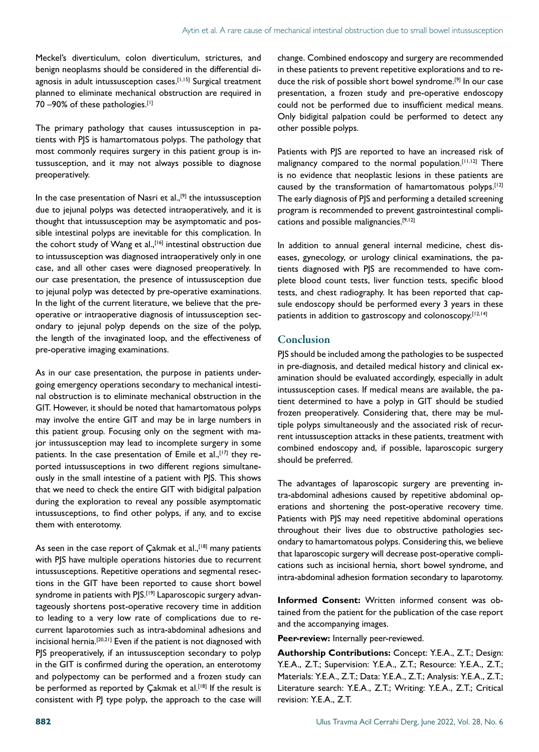Meckel's diverticulum, colon diverticulum, strictures, and benign neoplasms should be considered in the differential diagnosis in adult intussusception cases.<sup>[1,15]</sup> Surgical treatment planned to eliminate mechanical obstruction are required in 70 –90% of these pathologies.[1]

The primary pathology that causes intussusception in patients with PJS is hamartomatous polyps. The pathology that most commonly requires surgery in this patient group is intussusception, and it may not always possible to diagnose preoperatively.

In the case presentation of Nasri et  $al.,<sup>[9]</sup>$  the intussusception due to jejunal polyps was detected intraoperatively, and it is thought that intussusception may be asymptomatic and possible intestinal polyps are inevitable for this complication. In the cohort study of Wang et al.,<sup>[16]</sup> intestinal obstruction due to intussusception was diagnosed intraoperatively only in one case, and all other cases were diagnosed preoperatively. In our case presentation, the presence of intussusception due to jejunal polyp was detected by pre-operative examinations. In the light of the current literature, we believe that the preoperative or intraoperative diagnosis of intussusception secondary to jejunal polyp depends on the size of the polyp, the length of the invaginated loop, and the effectiveness of pre-operative imaging examinations.

As in our case presentation, the purpose in patients undergoing emergency operations secondary to mechanical intestinal obstruction is to eliminate mechanical obstruction in the GIT. However, it should be noted that hamartomatous polyps may involve the entire GIT and may be in large numbers in this patient group. Focusing only on the segment with major intussusception may lead to incomplete surgery in some patients. In the case presentation of Emile et al.,<sup>[17]</sup> they reported intussusceptions in two different regions simultaneously in the small intestine of a patient with PJS. This shows that we need to check the entire GIT with bidigital palpation during the exploration to reveal any possible asymptomatic intussusceptions, to find other polyps, if any, and to excise them with enterotomy.

As seen in the case report of  $\mathsf{C}$ akmak et al.,<sup>[18]</sup> many patients with PJS have multiple operations histories due to recurrent intussusceptions. Repetitive operations and segmental resections in the GIT have been reported to cause short bowel syndrome in patients with PJS.<sup>[19]</sup> Laparoscopic surgery advantageously shortens post-operative recovery time in addition to leading to a very low rate of complications due to recurrent laparotomies such as intra-abdominal adhesions and incisional hernia.[20,21] Even if the patient is not diagnosed with PJS preoperatively, if an intussusception secondary to polyp in the GIT is confirmed during the operation, an enterotomy and polypectomy can be performed and a frozen study can be performed as reported by Çakmak et al.<sup>[18]</sup> If the result is consistent with PJ type polyp, the approach to the case will

change. Combined endoscopy and surgery are recommended in these patients to prevent repetitive explorations and to reduce the risk of possible short bowel syndrome.[9] In our case presentation, a frozen study and pre-operative endoscopy could not be performed due to insufficient medical means. Only bidigital palpation could be performed to detect any other possible polyps.

Patients with PJS are reported to have an increased risk of malignancy compared to the normal population.[11,12] There is no evidence that neoplastic lesions in these patients are caused by the transformation of hamartomatous polyps.<sup>[12]</sup> The early diagnosis of PJS and performing a detailed screening program is recommended to prevent gastrointestinal complications and possible malignancies.[9,12]

In addition to annual general internal medicine, chest diseases, gynecology, or urology clinical examinations, the patients diagnosed with PJS are recommended to have complete blood count tests, liver function tests, specific blood tests, and chest radiography. It has been reported that capsule endoscopy should be performed every 3 years in these patients in addition to gastroscopy and colonoscopy.<sup>[12,14]</sup>

#### **Conclusion**

PJS should be included among the pathologies to be suspected in pre-diagnosis, and detailed medical history and clinical examination should be evaluated accordingly, especially in adult intussusception cases. If medical means are available, the patient determined to have a polyp in GIT should be studied frozen preoperatively. Considering that, there may be multiple polyps simultaneously and the associated risk of recurrent intussusception attacks in these patients, treatment with combined endoscopy and, if possible, laparoscopic surgery should be preferred.

The advantages of laparoscopic surgery are preventing intra-abdominal adhesions caused by repetitive abdominal operations and shortening the post-operative recovery time. Patients with PJS may need repetitive abdominal operations throughout their lives due to obstructive pathologies secondary to hamartomatous polyps. Considering this, we believe that laparoscopic surgery will decrease post-operative complications such as incisional hernia, short bowel syndrome, and intra-abdominal adhesion formation secondary to laparotomy.

**Informed Consent:** Written informed consent was obtained from the patient for the publication of the case report and the accompanying images.

**Peer-review:** Internally peer-reviewed.

**Authorship Contributions:** Concept: Y.E.A., Z.T.; Design: Y.E.A., Z.T.; Supervision: Y.E.A., Z.T.; Resource: Y.E.A., Z.T.; Materials: Y.E.A., Z.T.; Data: Y.E.A., Z.T.; Analysis: Y.E.A., Z.T.; Literature search: Y.E.A., Z.T.; Writing: Y.E.A., Z.T.; Critical revision: Y.E.A., Z.T.